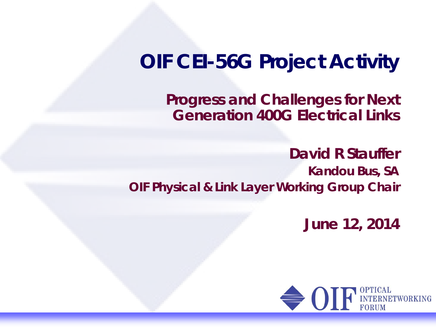#### **OIF CEI-56G Project Activity**

**Progress and Challenges for Next Generation 400G Electrical Links**

**David R Stauffer Kandou Bus, SA OIF Physical & Link Layer Working Group Chair**

**June 12, 2014**

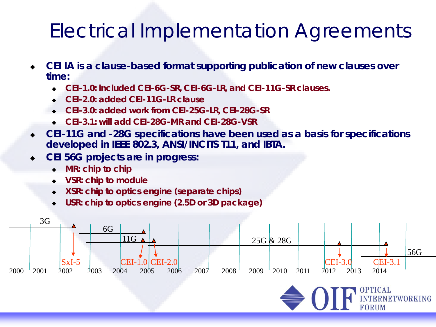#### Electrical Implementation Agreements

- **CEI IA is a clause-based format supporting publication of new clauses over time:**
	- **CEI-1.0: included CEI-6G-SR, CEI-6G-LR, and CEI-11G-SR clauses.**
	- **CEI-2.0: added CEI-11G-LR clause**
	- **CEI-3.0: added work from CEI-25G-LR, CEI-28G-SR**
	- **CEI-3.1: will add CEI-28G-MR and CEI-28G-VSR**
- **CEI-11G and -28G specifications have been used as a basis for specifications developed in IEEE 802.3, ANSI/INCITS T11, and IBTA.**
- **CEI 56G projects are in progress:**
	- **MR: chip to chip**
	- **VSR: chip to module**
	- **XSR: chip to optics engine (separate chips)**
	- **USR: chip to optics engine (2.5D or 3D package)**

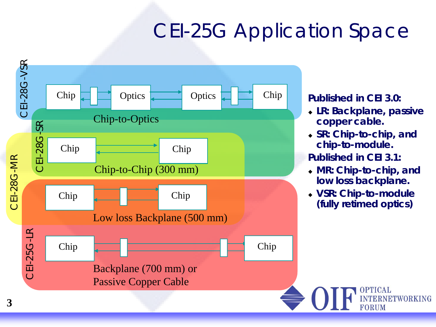# CEI-25G Application Space



**Published in CEI 3.0:**

- **LR: Backplane, passive copper cable.**
- **SR: Chip-to-chip, and chip-to-module.**

**Published in CEI 3.1:**

- **MR: Chip-to-chip, and low loss backplane.**
- **VSR: Chip-to-module (fully retimed optics)**

**OPTICAL** 

**FORUM** 

**INTERNETWORKING**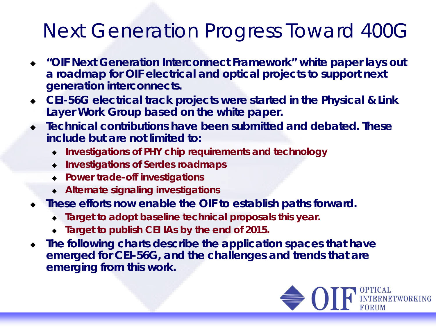#### Next Generation Progress Toward 400G

- **"OIF Next Generation Interconnect Framework" white paper lays out a roadmap for OIF electrical and optical projects to support next generation interconnects.**
- **CEI-56G electrical track projects were started in the Physical & Link Layer Work Group based on the white paper.**
- **Technical contributions have been submitted and debated. These include but are not limited to:**
	- **Investigations of PHY chip requirements and technology**
	- **Investigations of Serdes roadmaps**
	- **Power trade-off investigations**
	- **Alternate signaling investigations**
- **These efforts now enable the OIF to establish paths forward.**
	- **Target to adopt baseline technical proposals this year.**
	- **Target to publish CEI IAs by the end of 2015.**
- **The following charts describe the application spaces that have emerged for CEI-56G, and the challenges and trends that are emerging from this work.**

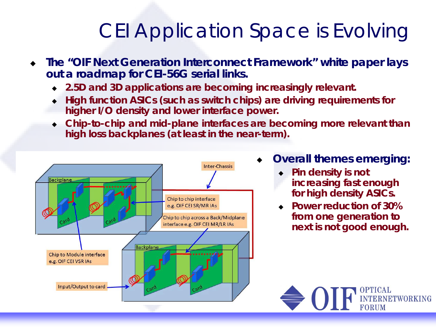# CEI Application Space is Evolving

- **The "OIF Next Generation Interconnect Framework" white paper lays out a roadmap for CEI-56G serial links.**
	- **2.5D and 3D applications are becoming increasingly relevant.**
	- **High function ASICs (such as switch chips) are driving requirements for higher I/O density and lower interface power.**
	- **Chip-to-chip and mid-plane interfaces are becoming more relevant than high loss backplanes (at least in the near-term).**



- **Overall themes emerging:**
	- **Pin density is not increasing fast enough for high density ASICs.**
	- **Power reduction of 30% from one generation to next is not good enough.**

**OPTICAL**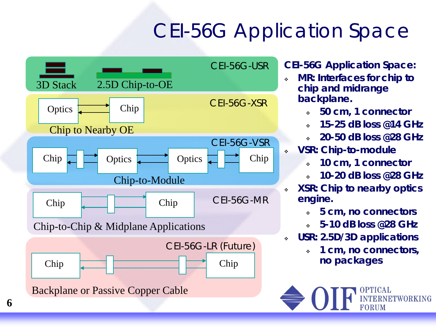# CEI-56G Application Space



#### CEI-56G-USR **CEI-56G Application Space:**

- **MR: Interfaces for chip to chip and midrange backplane.**
	- **50 cm, 1 connector**
	- **15-25 dB loss @14 GHz**
	- **20-50 dB loss @28 GHz**
- **VSR: Chip-to-module**
	- **10 cm, 1 connector**
	- **10-20 dB loss @28 GHz**
- **XSR: Chip to nearby optics engine.**
	- **5 cm, no connectors**
	- **5-10 dB loss @28 GHz**
- **USR: 2.5D/3D applications**
	- **1 cm, no connectors, no packages**

**OPTICAL** 

ERNETWORKING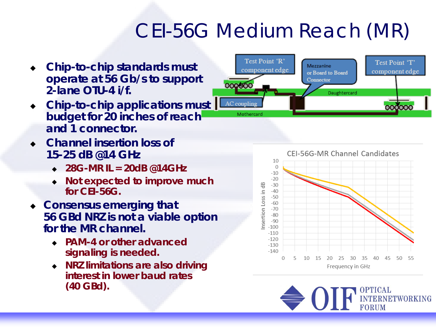# CEI-56G Medium Reach (MR)

- **Chip-to-chip standards must operate at 56 Gb/s to support 2-lane OTU-4 i/f.**
- **Chip-to-chip applications must budget for 20 inches of reach and 1 connector.**
- **Channel insertion loss of 15-25 dB @14 GHz**
	- **28G-MR IL = 20dB @14GHz**
	- **Not expected to improve much for CEI-56G.**
- **Consensus emerging that 56 GBd NRZ is not a viable option for the MR channel.**
	- **PAM-4 or other advanced signaling is needed.**
	- **NRZ limitations are also driving interest in lower baud rates (40 GBd).**





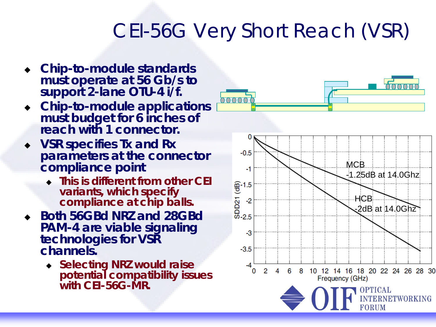## CEI-56G Very Short Reach (VSR)

- **Chip-to-module standards must operate at 56 Gb/s to support 2-lane OTU-4 i/f.**
- **Chip-to-module applications must budget for 6 inches of reach with 1 connector.**
- **VSR specifies Tx and Rx parameters at the connector compliance point** 
	- **This is different from other CEI variants, which specify compliance at chip balls.**
- **Both 56GBd NRZ and 28GBd PAM-4 are viable signaling technologies for VSR channels.**
	- **Selecting NRZ would raise potential compatibility issues with CEI-56G-MR.**



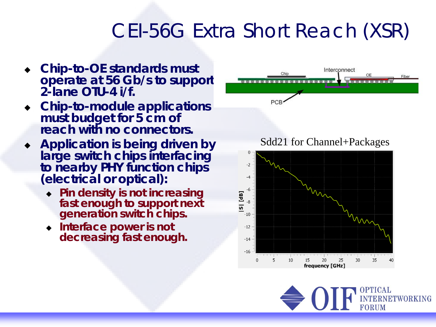#### CEI-56G Extra Short Reach (XSR)

- **Chip-to-OE standards must operate at 56 Gb/s to support 2-lane OTU-4 i/f.**
- **Chip-to-module applications must budget for 5 cm of reach with no connectors.**
- **Application is being driven by large switch chips interfacing to nearby PHY function chips (electrical or optical):**
	- **Pin density is not increasing fast enough to support next generation switch chips.**
	- **Interface power is not decreasing fast enough.**





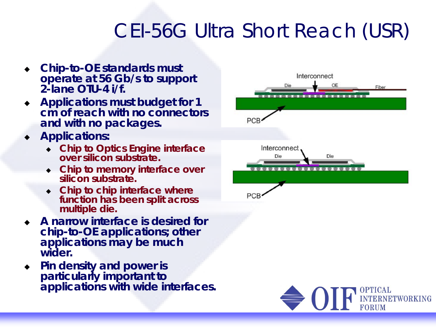# CEI-56G Ultra Short Reach (USR)

- **Chip-to-OE standards must operate at 56 Gb/s to support 2-lane OTU-4 i/f.**
- **Applications must budget for 1 cm of reach with no connectors and with no packages.**
- **Applications:**
	- **Chip to Optics Engine interface over silicon substrate.**
	- **Chip to memory interface over silicon substrate.**
	- **Chip to chip interface where function has been split across multiple die.**
- **A narrow interface is desired for chip-to-OE applications; other applications may be much wider.**
- **Pin density and power is particularly important to applications with wide interfaces.**



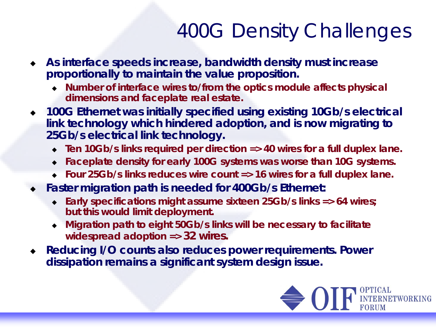## 400G Density Challenges

- **As interface speeds increase, bandwidth density must increase proportionally to maintain the value proposition.**
	- **Number of interface wires to/from the optics module affects physical dimensions and faceplate real estate.**
- **100G Ethernet was initially specified using existing 10Gb/s electrical link technology which hindered adoption, and is now migrating to 25Gb/s electrical link technology.**
	- **Ten 10Gb/s links required per direction => 40 wires for a full duplex lane.**
	- **Faceplate density for early 100G systems was worse than 10G systems.**
	- **Four 25Gb/s links reduces wire count => 16 wires for a full duplex lane.**
- **Faster migration path is needed for 400Gb/s Ethernet:**
	- **Early specifications might assume sixteen 25Gb/s links => 64 wires; but this would limit deployment.**
	- **Migration path to eight 50Gb/s links will be necessary to facilitate widespread adoption => 32 wires.**
- **Reducing I/O counts also reduces power requirements. Power dissipation remains a significant system design issue.**

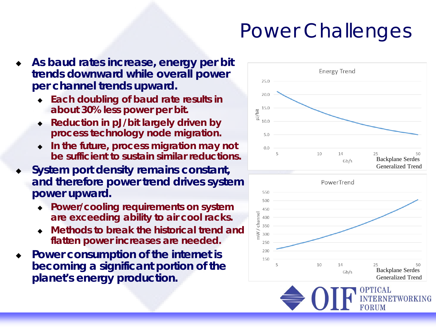# Power Challenges

- **As baud rates increase, energy per bit trends downward while overall power per channel trends upward.**
	- **Each doubling of baud rate results in about 30% less power per bit.**
	- **Reduction in pJ/bit largely driven by process technology node migration.**
	- **In the future, process migration may not be sufficient to sustain similar reductions.**
- **System port density remains constant, and therefore power trend drives system power upward.**
	- **Power/cooling requirements on system are exceeding ability to air cool racks.**
	- **Methods to break the historical trend and <br>
	<b>Methods to break the historical trend and flatten power increases are needed.**
- **Power consumption of the internet is becoming a significant portion of the planet's energy production.**



250 200 150

5

10

14

 $Gb/s$ 

Backplane Serdes Generalized Trend

50

25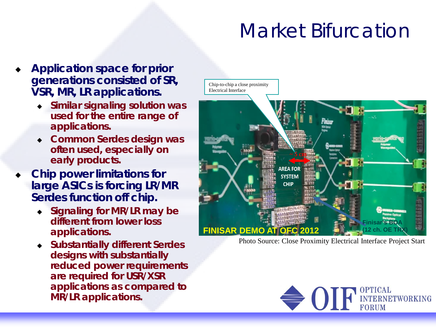## Market Bifurcation

- **Application space for prior generations consisted of SR, VSR, MR, LR applications.**
	- **Similar signaling solution was used for the entire range of applications.**
	- **Common Serdes design was often used, especially on early products.**
- **Chip power limitations for large ASICs is forcing LR/MR Serdes function off chip.**
	- **Signaling for MR/LR may be different from lower loss applications.**
	- **Substantially different Serdes designs with substantially reduced power requirements are required for USR/XSR applications as compared to MR/LR applications.**

Chip-to-chip a close proximity Electrical Interface



Photo Source: Close Proximity Electrical Interface Project Start

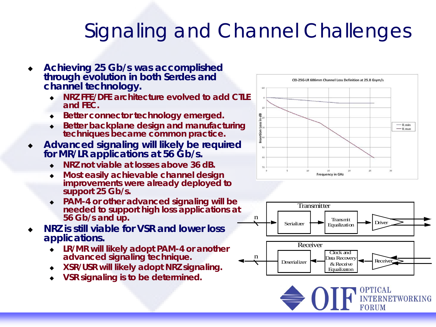## Signaling and Channel Challenges

- **Achieving 25 Gb/s was accomplished through evolution in** *both* **Serdes** *and* **channel technology.**
	- **NRZ FFE/DFE architecture evolved to add CTLE and FEC.**
	- **Better connector technology emerged.**
	- **Better backplane design and manufacturing techniques became common practice.**
- **Advanced signaling will likely be required for MR/LR applications at 56 Gb/s.**
	- **NRZ not viable at losses above 36 dB.**
	- **Most easily achievable channel design improvements were already deployed to support 25 Gb/s.**
	- **PAM-4 or other advanced signaling will be needed to support high loss applications at 56 Gb/s and up.**
- **NRZ is still viable for VSR and lower loss applications.**
	- **LR/MR will likely adopt PAM-4 or another advanced signaling technique.**
	- **XSR/USR will likely adopt NRZ signaling.**
	- **VSR signaling is to be determined.**





**OPTICAL** 

**FORUM** 

**INTERNETWORKING**